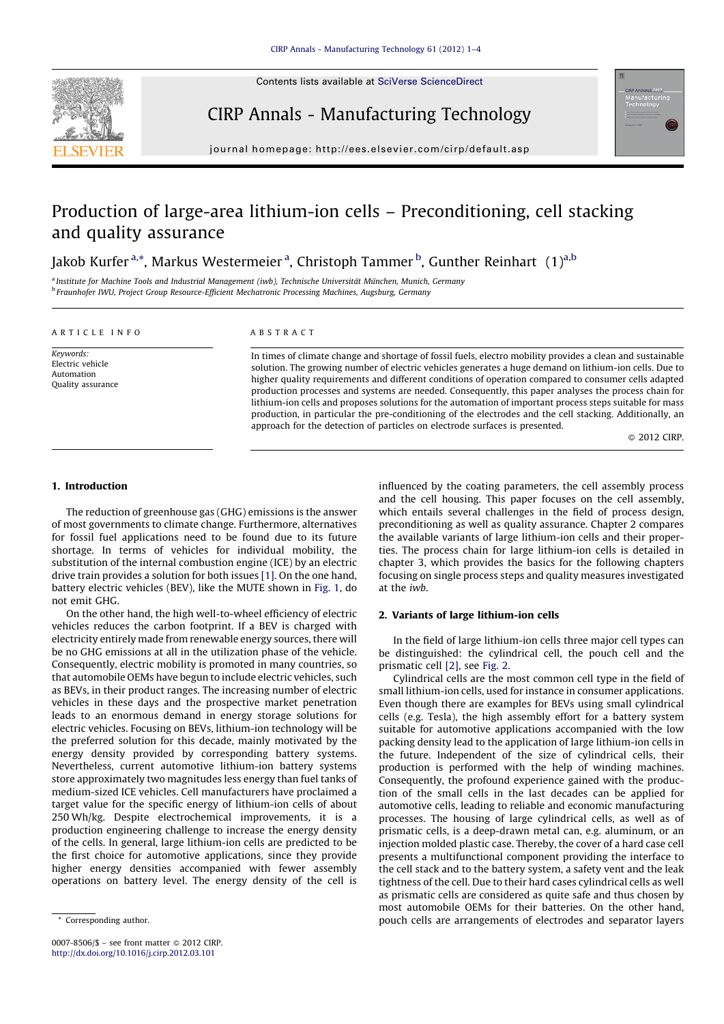

Contents lists available at SciVerse [ScienceDirect](http://www.sciencedirect.com/science/journal/00078506)

CIRP Annals - Manufacturing Technology



journal homepage: http://ees.elsevier.com/cirp/default.asp

## Production of large-area lithium-ion cells – Preconditioning, cell stacking and quality assurance

Jakob Kurfer<sup>a,\*</sup>, Markus Westermeier<sup>a</sup>, Christoph Tammer<sup>b</sup>, Gunther Reinhart (1)<sup>a,b</sup>

a Institute for Machine Tools and Industrial Management (iwb), Technische Universität München, Munich, Germany **b Fraunhofer IWU, Project Group Resource-Efficient Mechatronic Processing Machines, Augsburg, Germany** 

#### A R T I C L E I N F O

Keywords: Electric vehicle Automation Quality assurance

#### A B S T R A C T

In times of climate change and shortage of fossil fuels, electro mobility provides a clean and sustainable solution. The growing number of electric vehicles generates a huge demand on lithium-ion cells. Due to higher quality requirements and different conditions of operation compared to consumer cells adapted production processes and systems are needed. Consequently, this paper analyses the process chain for lithium-ion cells and proposes solutions for the automation of important process steps suitable for mass production, in particular the pre-conditioning of the electrodes and the cell stacking. Additionally, an approach for the detection of particles on electrode surfaces is presented.

© 2012 CIRP.

#### 1. Introduction

The reduction of greenhouse gas (GHG) emissions is the answer of most governments to climate change. Furthermore, alternatives for fossil fuel applications need to be found due to its future shortage. In terms of vehicles for individual mobility, the substitution of the internal combustion engine (ICE) by an electric drive train provides a solution for both issues [\[1\].](#page--1-0) On the one hand, battery electric vehicles (BEV), like the MUTE shown in [Fig.](#page-1-0) 1, do not emit GHG.

On the other hand, the high well-to-wheel efficiency of electric vehicles reduces the carbon footprint. If a BEV is charged with electricity entirely made from renewable energy sources, there will be no GHG emissions at all in the utilization phase of the vehicle. Consequently, electric mobility is promoted in many countries, so that automobile OEMs have begun to include electric vehicles, such as BEVs, in their product ranges. The increasing number of electric vehicles in these days and the prospective market penetration leads to an enormous demand in energy storage solutions for electric vehicles. Focusing on BEVs, lithium-ion technology will be the preferred solution for this decade, mainly motivated by the energy density provided by corresponding battery systems. Nevertheless, current automotive lithium-ion battery systems store approximately two magnitudes less energy than fuel tanks of medium-sized ICE vehicles. Cell manufacturers have proclaimed a target value for the specific energy of lithium-ion cells of about 250 Wh/kg. Despite electrochemical improvements, it is a production engineering challenge to increase the energy density of the cells. In general, large lithium-ion cells are predicted to be the first choice for automotive applications, since they provide higher energy densities accompanied with fewer assembly operations on battery level. The energy density of the cell is

influenced by the coating parameters, the cell assembly process and the cell housing. This paper focuses on the cell assembly, which entails several challenges in the field of process design, preconditioning as well as quality assurance. Chapter 2 compares the available variants of large lithium-ion cells and their properties. The process chain for large lithium-ion cells is detailed in chapter 3, which provides the basics for the following chapters focusing on single process steps and quality measures investigated at the iwb.

#### 2. Variants of large lithium-ion cells

In the field of large lithium-ion cells three major cell types can be distinguished: the cylindrical cell, the pouch cell and the prismatic cell [\[2\]](#page--1-0), see [Fig.](#page-1-0) 2.

Cylindrical cells are the most common cell type in the field of small lithium-ion cells, used for instance in consumer applications. Even though there are examples for BEVs using small cylindrical cells (e.g. Tesla), the high assembly effort for a battery system suitable for automotive applications accompanied with the low packing density lead to the application of large lithium-ion cells in the future. Independent of the size of cylindrical cells, their production is performed with the help of winding machines. Consequently, the profound experience gained with the production of the small cells in the last decades can be applied for automotive cells, leading to reliable and economic manufacturing processes. The housing of large cylindrical cells, as well as of prismatic cells, is a deep-drawn metal can, e.g. aluminum, or an injection molded plastic case. Thereby, the cover of a hard case cell presents a multifunctional component providing the interface to the cell stack and to the battery system, a safety vent and the leak tightness of the cell. Due to their hard cases cylindrical cells as well as prismatic cells are considered as quite safe and thus chosen by most automobile OEMs for their batteries. On the other hand, pouch cells are arrangements of electrodes and separator layers

<sup>\*</sup> Corresponding author.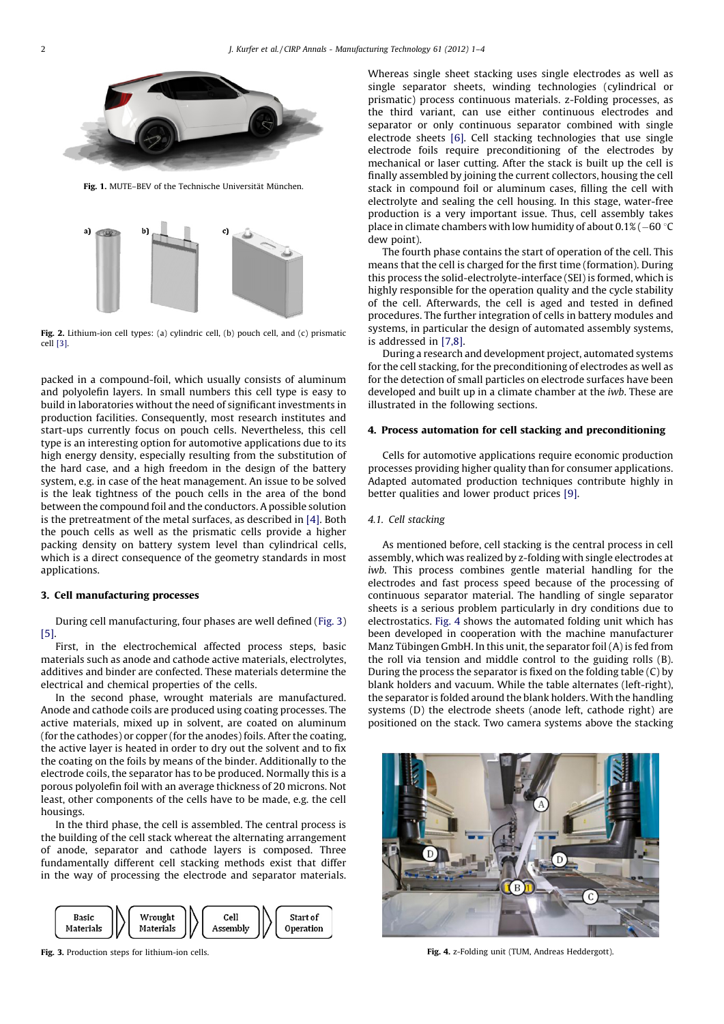<span id="page-1-0"></span>

Fig. 1. MUTE–BEV of the Technische Universität München.



Fig. 2. Lithium-ion cell types: (a) cylindric cell, (b) pouch cell, and (c) prismatic cell [\[3\]](#page--1-0).

packed in a compound-foil, which usually consists of aluminum and polyolefin layers. In small numbers this cell type is easy to build in laboratories without the need of significant investments in production facilities. Consequently, most research institutes and start-ups currently focus on pouch cells. Nevertheless, this cell type is an interesting option for automotive applications due to its high energy density, especially resulting from the substitution of the hard case, and a high freedom in the design of the battery system, e.g. in case of the heat management. An issue to be solved is the leak tightness of the pouch cells in the area of the bond between the compound foil and the conductors. A possible solution is the pretreatment of the metal surfaces, as described in [\[4\].](#page--1-0) Both the pouch cells as well as the prismatic cells provide a higher packing density on battery system level than cylindrical cells, which is a direct consequence of the geometry standards in most applications.

#### 3. Cell manufacturing processes

During cell manufacturing, four phases are well defined (Fig. 3) [\[5\].](#page--1-0)

First, in the electrochemical affected process steps, basic materials such as anode and cathode active materials, electrolytes, additives and binder are confected. These materials determine the electrical and chemical properties of the cells.

In the second phase, wrought materials are manufactured. Anode and cathode coils are produced using coating processes. The active materials, mixed up in solvent, are coated on aluminum (for the cathodes) or copper (for the anodes) foils. After the coating, the active layer is heated in order to dry out the solvent and to fix the coating on the foils by means of the binder. Additionally to the electrode coils, the separator has to be produced. Normally this is a porous polyolefin foil with an average thickness of 20 microns. Not least, other components of the cells have to be made, e.g. the cell housings.

In the third phase, the cell is assembled. The central process is the building of the cell stack whereat the alternating arrangement of anode, separator and cathode layers is composed. Three fundamentally different cell stacking methods exist that differ in the way of processing the electrode and separator materials.



Whereas single sheet stacking uses single electrodes as well as single separator sheets, winding technologies (cylindrical or prismatic) process continuous materials. z-Folding processes, as the third variant, can use either continuous electrodes and separator or only continuous separator combined with single electrode sheets [\[6\]](#page--1-0). Cell stacking technologies that use single electrode foils require preconditioning of the electrodes by mechanical or laser cutting. After the stack is built up the cell is finally assembled by joining the current collectors, housing the cell stack in compound foil or aluminum cases, filling the cell with electrolyte and sealing the cell housing. In this stage, water-free production is a very important issue. Thus, cell assembly takes place in climate chambers with low humidity of about 0.1% ( –60  $^{\circ}$ C dew point).

The fourth phase contains the start of operation of the cell. This means that the cell is charged for the first time (formation). During this process the solid-electrolyte-interface (SEI) is formed, which is highly responsible for the operation quality and the cycle stability of the cell. Afterwards, the cell is aged and tested in defined procedures. The further integration of cells in battery modules and systems, in particular the design of automated assembly systems, is addressed in [\[7,8\].](#page--1-0)

During a research and development project, automated systems for the cell stacking, for the preconditioning of electrodes as well as for the detection of small particles on electrode surfaces have been developed and built up in a climate chamber at the iwb. These are illustrated in the following sections.

### 4. Process automation for cell stacking and preconditioning

Cells for automotive applications require economic production processes providing higher quality than for consumer applications. Adapted automated production techniques contribute highly in better qualities and lower product prices [\[9\].](#page--1-0)

#### 4.1. Cell stacking

As mentioned before, cell stacking is the central process in cell assembly, which was realized by z-folding with single electrodes at iwb. This process combines gentle material handling for the electrodes and fast process speed because of the processing of continuous separator material. The handling of single separator sheets is a serious problem particularly in dry conditions due to electrostatics. Fig. 4 shows the automated folding unit which has been developed in cooperation with the machine manufacturer Manz Tübingen GmbH. In this unit, the separator foil  $(A)$  is fed from the roll via tension and middle control to the guiding rolls (B). During the process the separator is fixed on the folding table (C) by blank holders and vacuum. While the table alternates (left-right), the separator is folded around the blank holders. With the handling systems (D) the electrode sheets (anode left, cathode right) are positioned on the stack. Two camera systems above the stacking



Fig. 3. Production steps for lithium-ion cells. The second section of the second of the second of the second section of the second section of the second section steps for lithium-ion cells.